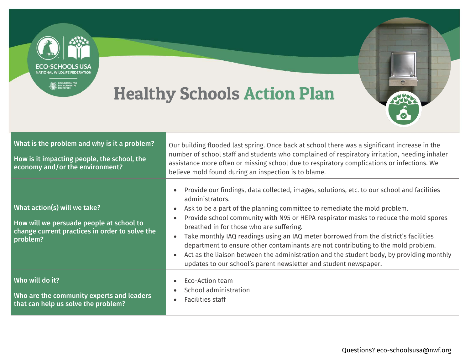